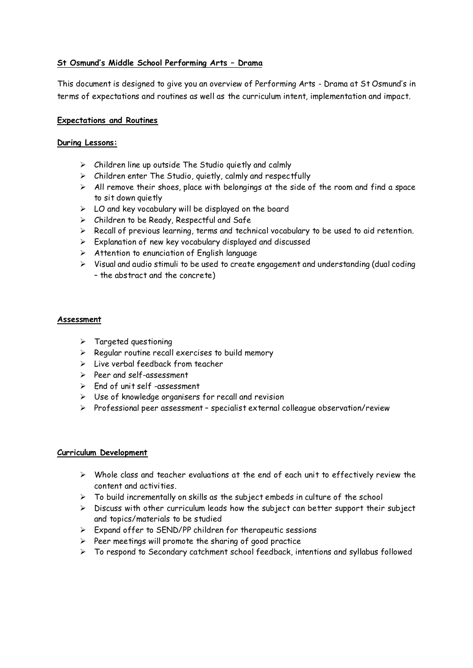# **St Osmund's Middle School Performing Arts – Drama**

This document is designed to give you an overview of Performing Arts - Drama at St Osmund's in terms of expectations and routines as well as the curriculum intent, implementation and impact.

### **Expectations and Routines**

### **During Lessons:**

- $\triangleright$  Children line up outside The Studio quietly and calmly
- $\triangleright$  Children enter The Studio, quietly, calmly and respectfully
- $\triangleright$  All remove their shoes, place with belongings at the side of the room and find a space to sit down quietly
- $\triangleright$  LO and key vocabulary will be displayed on the board
- $\triangleright$  Children to be Ready, Respectful and Safe
- $\triangleright$  Recall of previous learning, terms and technical vocabulary to be used to aid retention.
- $\triangleright$  Explanation of new key vocabulary displayed and discussed
- $\triangleright$  Attention to enunciation of English language
- $\triangleright$  Visual and audio stimuli to be used to create engagement and understanding (dual coding – the abstract and the concrete)

# **Assessment**

- $\triangleright$  Targeted questioning
- $\triangleright$  Regular routine recall exercises to build memory
- $\triangleright$  Live verbal feedback from teacher
- Peer and self-assessment
- $\geq$  End of unit self-assessment
- $\triangleright$  Use of knowledge organisers for recall and revision
- Professional peer assessment specialist external colleague observation/review

### **Curriculum Development**

- $\triangleright$  Whole class and teacher evaluations at the end of each unit to effectively review the content and activities.
- $\triangleright$  To build incrementally on skills as the subject embeds in culture of the school
- $\triangleright$  Discuss with other curriculum leads how the subject can better support their subject and topics/materials to be studied
- $\triangleright$  Expand offer to SEND/PP children for therapeutic sessions
- $\triangleright$  Peer meetings will promote the sharing of good practice
- $\triangleright$  To respond to Secondary catchment school feedback, intentions and syllabus followed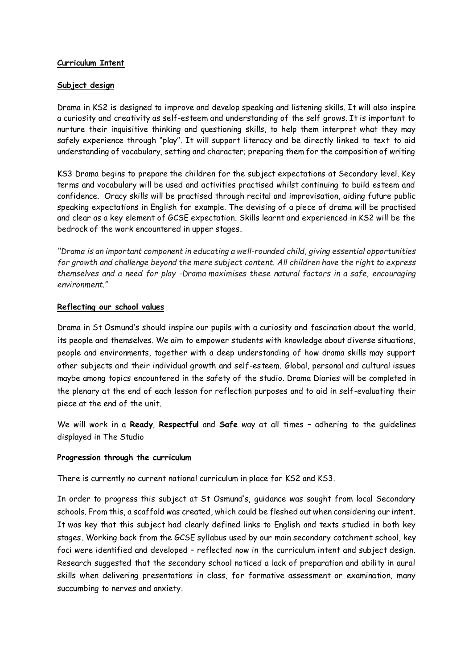# **Curriculum Intent**

### **Subject design**

Drama in KS2 is designed to improve and develop speaking and listening skills. It will also inspire a curiosity and creativity as self-esteem and understanding of the self grows. It is important to nurture their inquisitive thinking and questioning skills, to help them interpret what they may safely experience through "play". It will support literacy and be directly linked to text to aid understanding of vocabulary, setting and character; preparing them for the composition of writing

KS3 Drama begins to prepare the children for the subject expectations at Secondary level. Key terms and vocabulary will be used and activities practised whilst continuing to build esteem and confidence. Oracy skills will be practised through recital and improvisation, aiding future public speaking expectations in English for example. The devising of a piece of drama will be practised and clear as a key element of GCSE expectation. Skills learnt and experienced in KS2 will be the bedrock of the work encountered in upper stages.

*"Drama is an important component in educating a well-rounded child, giving essential opportunities for growth and challenge beyond the mere subject content. All children have the right to express themselves and a need for play -Drama maximises these natural factors in a safe, encouraging environment."*

# **Reflecting our school values**

Drama in St Osmund's should inspire our pupils with a curiosity and fascination about the world, its people and themselves. We aim to empower students with knowledge about diverse situations, people and environments, together with a deep understanding of how drama skills may support other subjects and their individual growth and self-esteem. Global, personal and cultural issues maybe among topics encountered in the safety of the studio. Drama Diaries will be completed in the plenary at the end of each lesson for reflection purposes and to aid in self-evaluating their piece at the end of the unit.

We will work in a **Ready**, **Respectful** and **Safe** way at all times – adhering to the guidelines displayed in The Studio

# **Progression through the curriculum**

There is currently no current national curriculum in place for KS2 and KS3.

In order to progress this subject at St Osmund's, guidance was sought from local Secondary schools. From this, a scaffold was created, which could be fleshed out when considering our intent. It was key that this subject had clearly defined links to English and texts studied in both key stages. Working back from the GCSE syllabus used by our main secondary catchment school, key foci were identified and developed – reflected now in the curriculum intent and subject design. Research suggested that the secondary school noticed a lack of preparation and ability in aural skills when delivering presentations in class, for formative assessment or examination, many succumbing to nerves and anxiety.